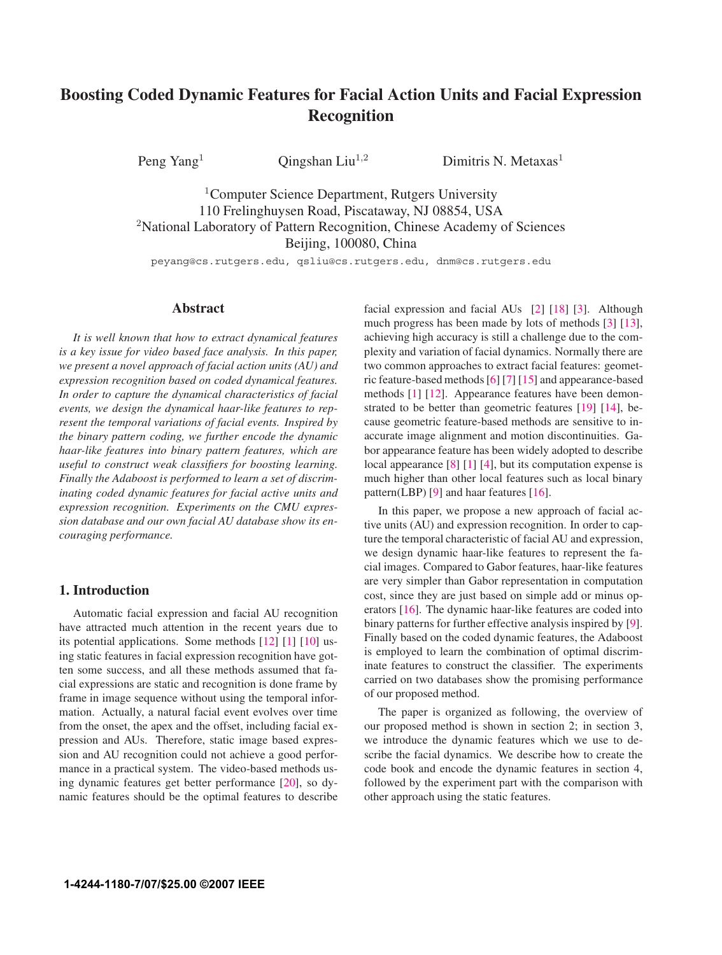# **Boosting Coded Dynamic Features for Facial Action Units and Facial Expression Recognition**

Peng Yang<sup>1</sup> Qingshan Liu<sup>1,2</sup> Dimitris N. Metaxas<sup>1</sup>

<sup>1</sup>Computer Science Department, Rutgers University 110 Frelinghuysen Road, Piscataway, NJ 08854, USA <sup>2</sup>National Laboratory of Pattern Recognition, Chinese Academy of Sciences Beijing, 100080, China

peyang@cs.rutgers.edu, qsliu@cs.rutgers.edu, dnm@cs.rutgers.edu

#### **Abstract**

*It is well known that how to extract dynamical features is a key issue for video based face analysis. In this paper, we present a novel approach of facial action units (AU) and expression recognition based on coded dynamical features. In order to capture the dynamical characteristics of facial events, we design the dynamical haar-like features to represent the temporal variations of facial events. Inspired by the binary pattern coding, we further encode the dynamic haar-like features into binary pattern features, which are useful to construct weak classifiers for boosting learning. Finally the Adaboost is performed to learn a set of discriminating coded dynamic features for facial active units and expression recognition. Experiments on the CMU expression database and our own facial AU database show its encouraging performance.*

### **1. Introduction**

Automatic facial expression and facial AU recognition have attracted much attention in the recent years due to its potential applications. Some methods [12] [1] [10] using static features in facial expression recognition have gotten some success, and all these methods assumed that facial expressions are static and recognition is done frame by frame in image sequence without using the temporal information. Actually, a natural facial event evolves over time from the onset, the apex and the offset, including facial expression and AUs. Therefore, static image based expression and AU recognition could not achieve a good performance in a practical system. The video-based methods using dynamic features get better performance [20], so dynamic features should be the optimal features to describe facial expression and facial AUs [2] [18] [3]. Although much progress has been made by lots of methods [3] [13], achieving high accuracy is still a challenge due to the complexity and variation of facial dynamics. Normally there are two common approaches to extract facial features: geometric feature-based methods [6] [7] [15] and appearance-based methods [1] [12]. Appearance features have been demonstrated to be better than geometric features [19] [14], because geometric feature-based methods are sensitive to inaccurate image alignment and motion discontinuities. Gabor appearance feature has been widely adopted to describe local appearance [8] [1] [4], but its computation expense is much higher than other local features such as local binary pattern(LBP) [9] and haar features [16].

In this paper, we propose a new approach of facial active units (AU) and expression recognition. In order to capture the temporal characteristic of facial AU and expression, we design dynamic haar-like features to represent the facial images. Compared to Gabor features, haar-like features are very simpler than Gabor representation in computation cost, since they are just based on simple add or minus operators [16]. The dynamic haar-like features are coded into binary patterns for further effective analysis inspired by [9]. Finally based on the coded dynamic features, the Adaboost is employed to learn the combination of optimal discriminate features to construct the classifier. The experiments carried on two databases show the promising performance of our proposed method.

The paper is organized as following, the overview of our proposed method is shown in section 2; in section 3, we introduce the dynamic features which we use to describe the facial dynamics. We describe how to create the code book and encode the dynamic features in section 4, followed by the experiment part with the comparison with other approach using the static features.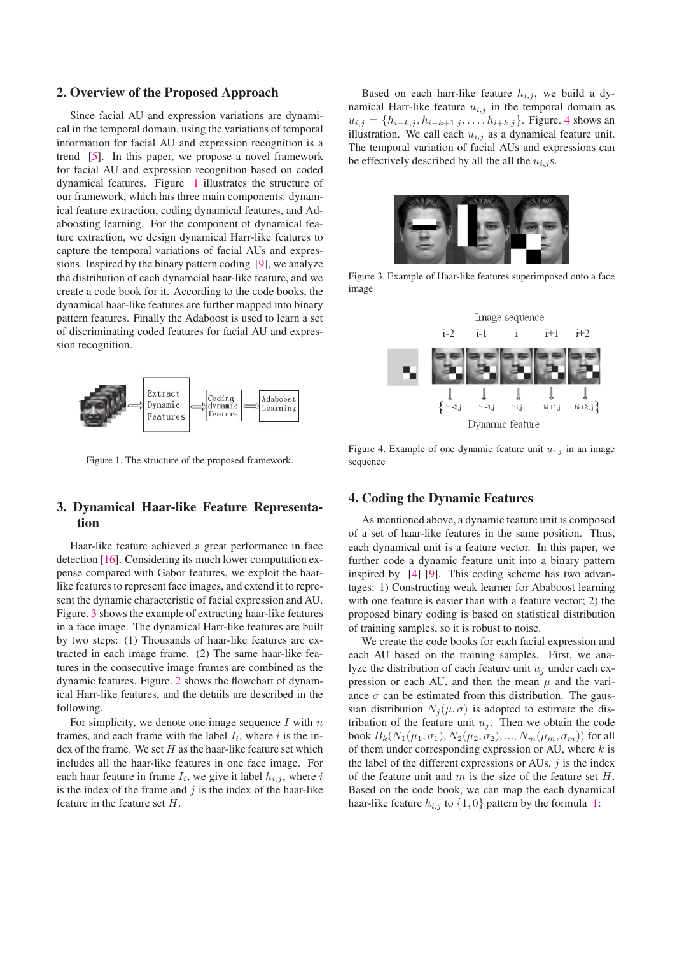#### **2. Overview of the Proposed Approach**

Since facial AU and expression variations are dynamical in the temporal domain, using the variations of temporal information for facial AU and expression recognition is a trend [5]. In this paper, we propose a novel framework for facial AU and expression recognition based on coded dynamical features. Figure 1 illustrates the structure of our framework, which has three main components: dynamical feature extraction, coding dynamical features, and Adaboosting learning. For the component of dynamical feature extraction, we design dynamical Harr-like features to capture the temporal variations of facial AUs and expressions. Inspired by the binary pattern coding [9], we analyze the distribution of each dynamcial haar-like feature, and we create a code book for it. According to the code books, the dynamical haar-like features are further mapped into binary pattern features. Finally the Adaboost is used to learn a set of discriminating coded features for facial AU and expression recognition.



Figure 1. The structure of the proposed framework.

## **3. Dynamical Haar-like Feature Representation**

Haar-like feature achieved a great performance in face detection [16]. Considering its much lower computation expense compared with Gabor features, we exploit the haarlike features to represent face images, and extend it to represent the dynamic characteristic of facial expression and AU. Figure. 3 shows the example of extracting haar-like features in a face image. The dynamical Harr-like features are built by two steps: (1) Thousands of haar-like features are extracted in each image frame. (2) The same haar-like features in the consecutive image frames are combined as the dynamic features. Figure. 2 shows the flowchart of dynamical Harr-like features, and the details are described in the following.

For simplicity, we denote one image sequence  $I$  with  $n$ frames, and each frame with the label  $I_i$ , where i is the index of the frame. We set  $H$  as the haar-like feature set which includes all the haar-like features in one face image. For each haar feature in frame  $I_i$ , we give it label  $h_{i,j}$ , where i is the index of the frame and  $j$  is the index of the haar-like feature in the feature set H.

Based on each harr-like feature  $h_{i,j}$ , we build a dynamical Harr-like feature  $u_{i,j}$  in the temporal domain as  $u_{i,j} = \{h_{i-k,j}, h_{i-k+1,j}, \ldots, h_{i+k,j}\}.$  Figure. 4 shows an illustration. We call each  $u_{i,j}$  as a dynamical feature unit. The temporal variation of facial AUs and expressions can be effectively described by all the all the  $u_{i,j}$ s.



Figure 3. Example of Haar-like features superimposed onto a face image



Figure 4. Example of one dynamic feature unit  $u_{i,j}$  in an image sequence

#### **4. Coding the Dynamic Features**

As mentioned above, a dynamic feature unit is composed of a set of haar-like features in the same position. Thus, each dynamical unit is a feature vector. In this paper, we further code a dynamic feature unit into a binary pattern inspired by [4] [9]. This coding scheme has two advantages: 1) Constructing weak learner for Ababoost learning with one feature is easier than with a feature vector; 2) the proposed binary coding is based on statistical distribution of training samples, so it is robust to noise.

We create the code books for each facial expression and each AU based on the training samples. First, we analyze the distribution of each feature unit  $u_i$  under each expression or each AU, and then the mean  $\mu$  and the variance  $\sigma$  can be estimated from this distribution. The gaussian distribution  $N_i(\mu, \sigma)$  is adopted to estimate the distribution of the feature unit  $u_i$ . Then we obtain the code book  $B_k(N_1(\mu_1, \sigma_1), N_2(\mu_2, \sigma_2), ..., N_m(\mu_m, \sigma_m))$  for all of them under corresponding expression or AU, where  $k$  is the label of the different expressions or AUs,  $j$  is the index of the feature unit and  $m$  is the size of the feature set  $H$ . Based on the code book, we can map the each dynamical haar-like feature  $h_{i,j}$  to  $\{1,0\}$  pattern by the formula 1: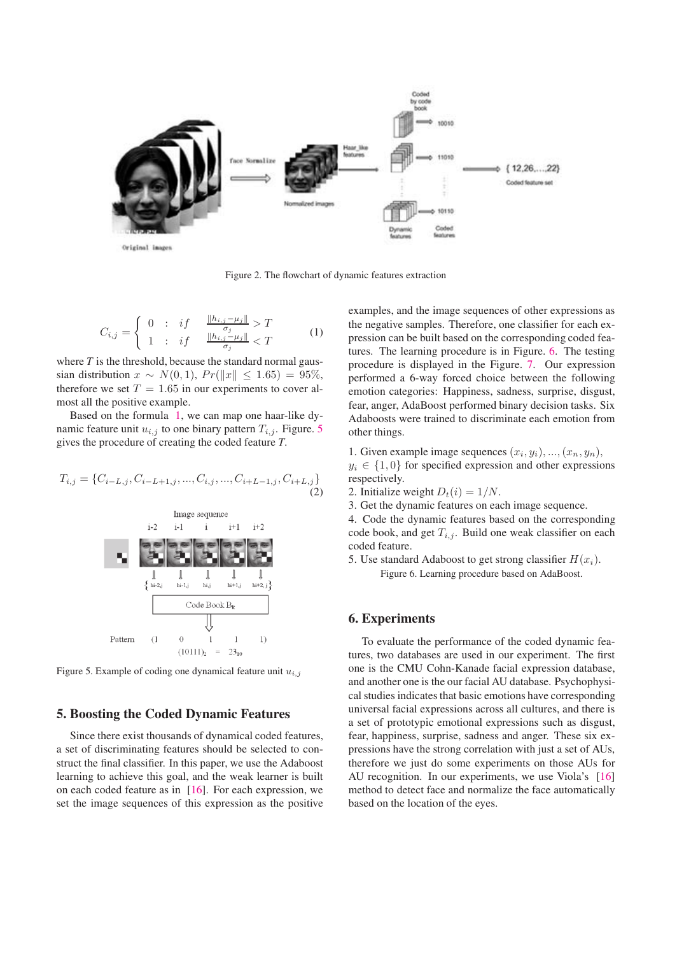

Figure 2. The flowchart of dynamic features extraction

$$
C_{i,j} = \begin{cases} 0 & \text{: if } \frac{\|h_{i,j} - \mu_j\|}{\sigma_j} > T \\ 1 & \text{: if } \frac{\|h_{i,j} - \mu_j\|}{\sigma_j} < T \end{cases} \tag{1}
$$

where *T* is the threshold, because the standard normal gaussian distribution  $x \sim N(0, 1)$ ,  $Pr(||x|| \leq 1.65) = 95\%,$ therefore we set  $T = 1.65$  in our experiments to cover almost all the positive example.

Based on the formula 1, we can map one haar-like dynamic feature unit  $u_{i,j}$  to one binary pattern  $T_{i,j}$ . Figure. 5 gives the procedure of creating the coded feature *T*.

$$
T_{i,j} = \{C_{i-L,j}, C_{i-L+1,j}, ..., C_{i,j}, ..., C_{i+L-1,j}, C_{i+L,j}\}\tag{2}
$$



Figure 5. Example of coding one dynamical feature unit  $u_{i,j}$ 

## **5. Boosting the Coded Dynamic Features**

Since there exist thousands of dynamical coded features, a set of discriminating features should be selected to construct the final classifier. In this paper, we use the Adaboost learning to achieve this goal, and the weak learner is built on each coded feature as in [16]. For each expression, we set the image sequences of this expression as the positive examples, and the image sequences of other expressions as the negative samples. Therefore, one classifier for each expression can be built based on the corresponding coded features. The learning procedure is in Figure. 6. The testing procedure is displayed in the Figure. 7. Our expression performed a 6-way forced choice between the following emotion categories: Happiness, sadness, surprise, disgust, fear, anger, AdaBoost performed binary decision tasks. Six Adaboosts were trained to discriminate each emotion from other things.

1. Given example image sequences  $(x_i, y_i), ..., (x_n, y_n)$ ,  $y_i \in \{1,0\}$  for specified expression and other expressions respectively.

- 2. Initialize weight  $D_t(i)=1/N$ .
- 3. Get the dynamic features on each image sequence.
- 4. Code the dynamic features based on the corresponding code book, and get  $T_{i,j}$ . Build one weak classifier on each coded feature.
- 5. Use standard Adaboost to get strong classifier  $H(x_i)$ . Figure 6. Learning procedure based on AdaBoost.

### **6. Experiments**

To evaluate the performance of the coded dynamic features, two databases are used in our experiment. The first one is the CMU Cohn-Kanade facial expression database, and another one is the our facial AU database. Psychophysical studies indicates that basic emotions have corresponding universal facial expressions across all cultures, and there is a set of prototypic emotional expressions such as disgust, fear, happiness, surprise, sadness and anger. These six expressions have the strong correlation with just a set of AUs, therefore we just do some experiments on those AUs for AU recognition. In our experiments, we use Viola's [16] method to detect face and normalize the face automatically based on the location of the eyes.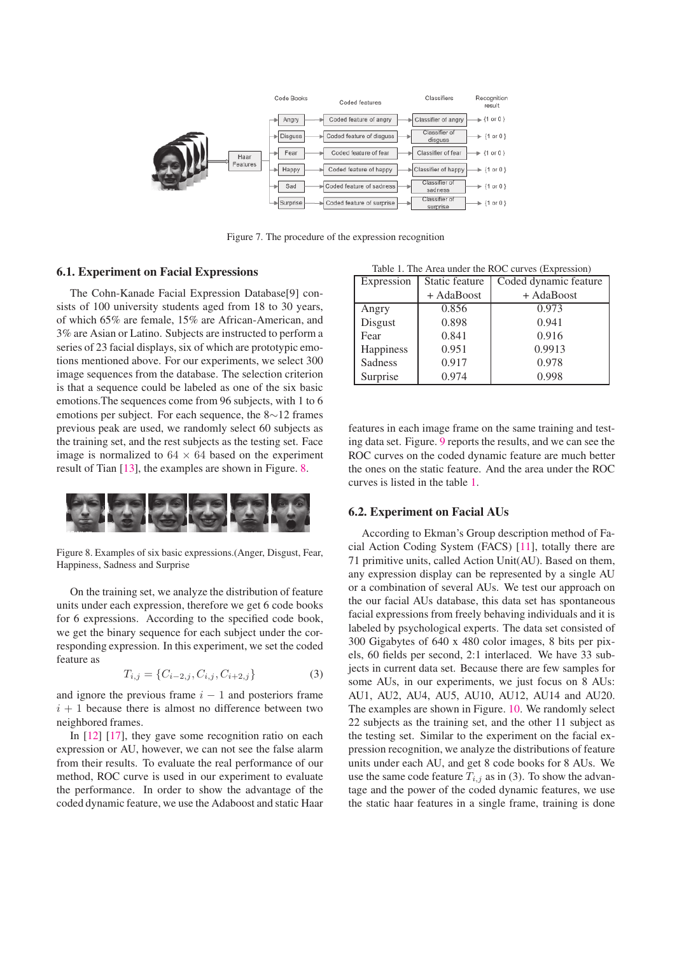

Figure 7. The procedure of the expression recognition

#### **6.1. Experiment on Facial Expressions**

The Cohn-Kanade Facial Expression Database[9] consists of 100 university students aged from 18 to 30 years, of which 65% are female, 15% are African-American, and 3% are Asian or Latino. Subjects are instructed to perform a series of 23 facial displays, six of which are prototypic emotions mentioned above. For our experiments, we select 300 image sequences from the database. The selection criterion is that a sequence could be labeled as one of the six basic emotions.The sequences come from 96 subjects, with 1 to 6 emotions per subject. For each sequence, the 8∼12 frames previous peak are used, we randomly select 60 subjects as the training set, and the rest subjects as the testing set. Face image is normalized to  $64 \times 64$  based on the experiment result of Tian [13], the examples are shown in Figure. 8.



Figure 8. Examples of six basic expressions.(Anger, Disgust, Fear, Happiness, Sadness and Surprise

On the training set, we analyze the distribution of feature units under each expression, therefore we get 6 code books for 6 expressions. According to the specified code book, we get the binary sequence for each subject under the corresponding expression. In this experiment, we set the coded feature as

$$
T_{i,j} = \{C_{i-2,j}, C_{i,j}, C_{i+2,j}\}\tag{3}
$$

and ignore the previous frame  $i - 1$  and posteriors frame  $i + 1$  because there is almost no difference between two neighbored frames.

In [12] [17], they gave some recognition ratio on each expression or AU, however, we can not see the false alarm from their results. To evaluate the real performance of our method, ROC curve is used in our experiment to evaluate the performance. In order to show the advantage of the coded dynamic feature, we use the Adaboost and static Haar

Table 1. The Area under the ROC curves (Expression)

| Expression | Static feature | Coded dynamic feature |
|------------|----------------|-----------------------|
|            | + AdaBoost     | + AdaBoost            |
| Angry      | 0.856          | 0.973                 |
| Disgust    | 0.898          | 0.941                 |
| Fear       | 0.841          | 0.916                 |
| Happiness  | 0.951          | 0.9913                |
| Sadness    | 0.917          | 0.978                 |
| Surprise   | 0.974          | 0.998                 |

features in each image frame on the same training and testing data set. Figure. 9 reports the results, and we can see the ROC curves on the coded dynamic feature are much better the ones on the static feature. And the area under the ROC curves is listed in the table 1.

#### **6.2. Experiment on Facial AUs**

According to Ekman's Group description method of Facial Action Coding System (FACS) [11], totally there are 71 primitive units, called Action Unit(AU). Based on them, any expression display can be represented by a single AU or a combination of several AUs. We test our approach on the our facial AUs database, this data set has spontaneous facial expressions from freely behaving individuals and it is labeled by psychological experts. The data set consisted of 300 Gigabytes of 640 x 480 color images, 8 bits per pixels, 60 fields per second, 2:1 interlaced. We have 33 subjects in current data set. Because there are few samples for some AUs, in our experiments, we just focus on 8 AUs: AU1, AU2, AU4, AU5, AU10, AU12, AU14 and AU20. The examples are shown in Figure. 10. We randomly select 22 subjects as the training set, and the other 11 subject as the testing set. Similar to the experiment on the facial expression recognition, we analyze the distributions of feature units under each AU, and get 8 code books for 8 AUs. We use the same code feature  $T_{i,j}$  as in (3). To show the advantage and the power of the coded dynamic features, we use the static haar features in a single frame, training is done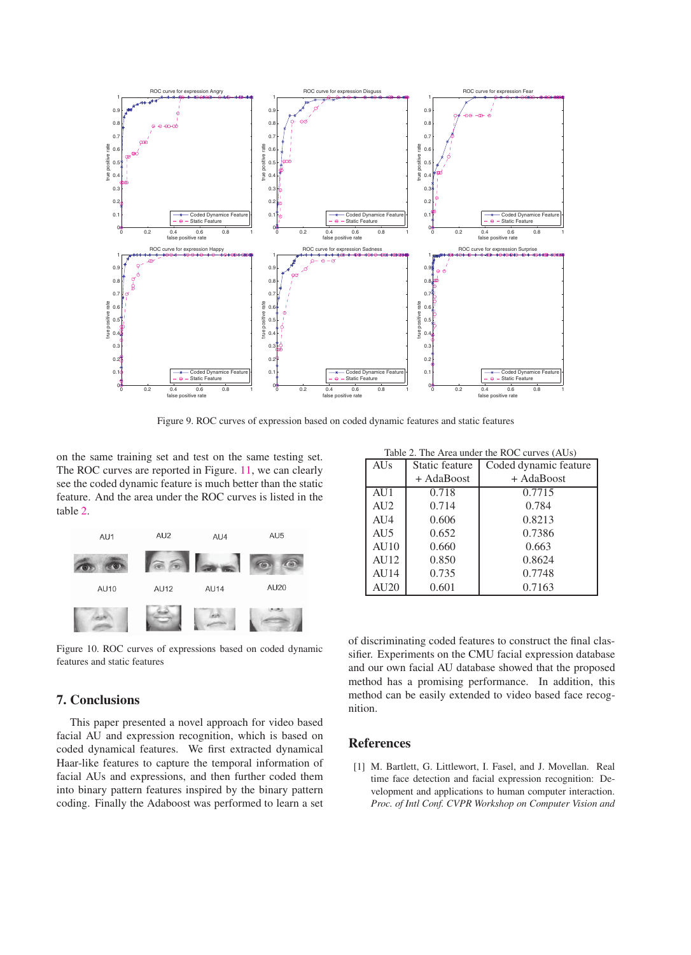

Figure 9. ROC curves of expression based on coded dynamic features and static features

on the same training set and test on the same testing set. The ROC curves are reported in Figure. 11, we can clearly see the coded dynamic feature is much better than the static feature. And the area under the ROC curves is listed in the table 2.



Figure 10. ROC curves of expressions based on coded dynamic features and static features

## Table 2. The Area under the ROC curves (AUs)

| <b>AUs</b>  | Static feature | Coded dynamic feature |
|-------------|----------------|-----------------------|
|             | + AdaBoost     | + AdaBoost            |
| AU1         | 0.718          | 0.7715                |
| AI12        | 0.714          | 0.784                 |
| AIJ4        | 0.606          | 0.8213                |
| AU5         | 0.652          | 0.7386                |
| AIJ10       | 0.660          | 0.663                 |
| AI12        | 0.850          | 0.8624                |
| AU14        | 0.735          | 0.7748                |
| <b>AU20</b> | 0.601          | 0.7163                |

of discriminating coded features to construct the final classifier. Experiments on the CMU facial expression database and our own facial AU database showed that the proposed method has a promising performance. In addition, this method can be easily extended to video based face recognition.

## **7. Conclusions**

This paper presented a novel approach for video based facial AU and expression recognition, which is based on coded dynamical features. We first extracted dynamical Haar-like features to capture the temporal information of facial AUs and expressions, and then further coded them into binary pattern features inspired by the binary pattern coding. Finally the Adaboost was performed to learn a set

#### **References**

[1] M. Bartlett, G. Littlewort, I. Fasel, and J. Movellan. Real time face detection and facial expression recognition: Development and applications to human computer interaction. *Proc. of Intl Conf. CVPR Workshop on Computer Vision and*